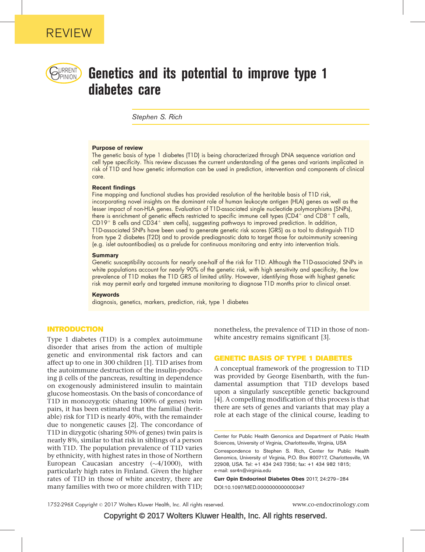

# $\bigcup_{PINION}$  Genetics and its potential to improve type 1 diabetes care

Stephen S. Rich

#### Purpose of review

The genetic basis of type 1 diabetes (T1D) is being characterized through DNA sequence variation and cell type specificity. This review discusses the current understanding of the genes and variants implicated in risk of T1D and how genetic information can be used in prediction, intervention and components of clinical care.

#### Recent findings

Fine mapping and functional studies has provided resolution of the heritable basis of T1D risk, incorporating novel insights on the dominant role of human leukocyte antigen (HLA) genes as well as the lesser impact of non-HLA genes. Evaluation of T1D-associated single nucleotide polymorphisms (SNPs), there is enrichment of genetic effects restricted to specific immune cell types (CD4+ and CD8+ T cells,  $CD19<sup>+</sup>$  B cells and  $CD34<sup>+</sup>$  stem cells), suggesting pathways to improved prediction. In addition, T1D-associated SNPs have been used to generate genetic risk scores (GRS) as a tool to distinguish T1D from type 2 diabetes (T2D) and to provide prediagnostic data to target those for autoimmunity screening (e.g. islet autoantibodies) as a prelude for continuous monitoring and entry into intervention trials.

#### **Summary**

Genetic susceptibility accounts for nearly one-half of the risk for T1D. Although the T1D-associated SNPs in white populations account for nearly 90% of the genetic risk, with high sensitivity and specificity, the low prevalence of T1D makes the T1D GRS of limited utility. However, identifying those with highest genetic risk may permit early and targeted immune monitoring to diagnose T1D months prior to clinical onset.

#### Keywords

diagnosis, genetics, markers, prediction, risk, type 1 diabetes

## INTRODUCTION

Type 1 diabetes (T1D) is a complex autoimmune disorder that arises from the action of multiple genetic and environmental risk factors and can affect up to one in 300 children [\[1\].](#page-4-0) T1D arises from the autoimmune destruction of the insulin-producing  $\beta$  cells of the pancreas, resulting in dependence on exogenously administered insulin to maintain glucose homeostasis. On the basis of concordance of T1D in monozygotic (sharing 100% of genes) twin pairs, it has been estimated that the familial (heritable) risk for T1D is nearly 40%, with the remainder due to nongenetic causes [\[2\]](#page-4-0). The concordance of T1D in dizygotic (sharing 50% of genes) twin pairs is nearly 8%, similar to that risk in siblings of a person with T1D. The population prevalence of T1D varies by ethnicity, with highest rates in those of Northern European Caucasian ancestry  $(\sim 4/1000)$ , with particularly high rates in Finland. Given the higher rates of T1D in those of white ancestry, there are many families with two or more children with T1D;

nonetheless, the prevalence of T1D in those of non-white ancestry remains significant [\[3\].](#page-4-0)

#### GENETIC BASIS OF TYPE 1 DIABETES

A conceptual framework of the progression to T1D was provided by George Eisenbarth, with the fundamental assumption that T1D develops based upon a singularly susceptible genetic background [\[4\]](#page-4-0). A compelling modification of this process is that there are sets of genes and variants that may play a role at each stage of the clinical course, leading to

Center for Public Health Genomics and Department of Public Health Sciences, University of Virginia, Charlottesville, Virginia, USA

Correspondence to Stephen S. Rich, Center for Public Health Genomics, University of Virginia, P.O. Box 800717, Charlottesville, VA 22908, USA. Tel: +1 434 243 7356; fax: +1 434 982 1815; e-mail: [ssr4n@virginia.edu](mailto:ssr4n@virginia.edu)

Curr Opin Endocrinol Diabetes Obes 2017, 24:279–284 DOI:10.1097/MED.0000000000000347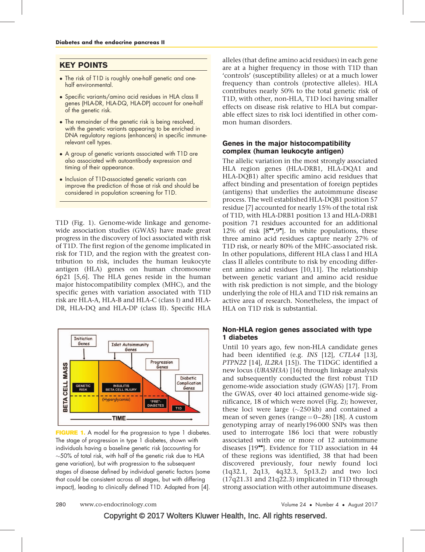## KEY POINTS

- The risk of T1D is roughly one-half genetic and onehalf environmental.
- Specific variants/amino acid residues in HLA class II genes (HLA-DR, HLA-DQ, HLA-DP) account for one-half of the genetic risk.
- The remainder of the genetic risk is being resolved, with the genetic variants appearing to be enriched in DNA regulatory regions (enhancers) in specific immunerelevant cell types.
- A group of genetic variants associated with T1D are also associated with autoantibody expression and timing of their appearance.
- Inclusion of T1D-associated genetic variants can improve the prediction of those at risk and should be considered in population screening for T1D.

T1D (Fig. 1). Genome-wide linkage and genomewide association studies (GWAS) have made great progress in the discovery of loci associated with risk of T1D. The first region of the genome implicated in risk for T1D, and the region with the greatest contribution to risk, includes the human leukocyte antigen (HLA) genes on human chromosome 6p21 [\[5,6\]](#page-4-0). The HLA genes reside in the human major histocompatibility complex (MHC), and the specific genes with variation associated with T1D risk are HLA-A, HLA-B and HLA-C (class I) and HLA-DR, HLA-DQ and HLA-DP (class II). Specific HLA



FIGURE 1. A model for the progression to type 1 diabetes. The stage of progression in type 1 diabetes, shown with individuals having a baseline genetic risk (accounting for  $\sim$ 50% of total risk, with half of the genetic risk due to HLA gene variation), but with progression to the subsequent stages of disease defined by individual genetic factors (some that could be consistent across all stages, but with differing impact), leading to clinically defined T1D. Adapted from [\[4\]](#page-4-0).

alleles (that define amino acid residues) in each gene are at a higher frequency in those with T1D than 'controls' (susceptibility alleles) or at a much lower frequency than controls (protective alleles). HLA contributes nearly 50% to the total genetic risk of T1D, with other, non-HLA, T1D loci having smaller effects on disease risk relative to HLA but comparable effect sizes to risk loci identified in other common human disorders.

## Genes in the major histocompatibility complex (human leukocyte antigen)

The allelic variation in the most strongly associated HLA region genes (HLA-DRB1, HLA-DQA1 and HLA-DQB1) alter specific amino acid residues that affect binding and presentation of foreign peptides (antigens) that underlies the autoimmune disease process. The well established HLA-DQB1 position 57 residue [\[7\]](#page-4-0) accounted for nearly 15% of the total risk of T1D, with HLA-DRB1 position 13 and HLA-DRB1 position 71 residues accounted for an additional 12% of risk  $[8"$  $[8"$ ,  $9"$ [\].](#page-4-0) In white populations, these three amino acid residues capture nearly 27% of T1D risk, or nearly 80% of the MHC-associated risk. In other populations, different HLA class I and HLA class II alleles contribute to risk by encoding different amino acid residues [\[10,11\].](#page-4-0) The relationship between genetic variant and amino acid residue with risk prediction is not simple, and the biology underlying the role of HLA and T1D risk remains an active area of research. Nonetheless, the impact of HLA on T1D risk is substantial.

#### Non-HLA region genes associated with type 1 diabetes

Until 10 years ago, few non-HLA candidate genes had been identified (e.g. INS [\[12\]](#page-4-0), CTLA4 [\[13\]](#page-4-0), PTPN22 [\[14\],](#page-4-0) IL2RA [\[15\]\)](#page-4-0). The T1DGC identified a new locus (UBASH3A) [\[16\]](#page-5-0) through linkage analysis and subsequently conducted the first robust T1D genome-wide association study (GWAS) [\[17\]](#page-5-0). From the GWAS, over 40 loci attained genome-wide significance, 18 of which were novel (Fig. 2); however, these loci were large  $(\sim 250 \, \text{kb})$  and contained a mean of seven genes (range  $= 0-28$ ) [\[18\].](#page-5-0) A custom genotyping array of nearly196 000 SNPs was then used to interrogate 186 loci that were robustly associated with one or more of 12 autoimmune diseases  $[19"']$  $[19"']$  $[19"']$ . Evidence for T1D association in 44 of these regions was identified, 38 that had been discovered previously, four newly found loci (1q32.1, 2q13, 4q32.3, 5p13.2) and two loci (17q21.31 and 21q22.3) implicated in T1D through strong association with other autoimmune diseases.

Copyright © 2017 Wolters Kluwer Health, Inc. All rights reserved.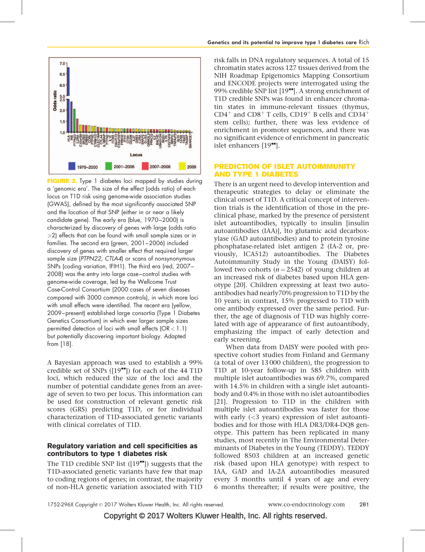

**FIGURE 2.** Type 1 diabetes loci mapped by studies during a 'genomic era'. The size of the effect (odds ratio) of each locus on T1D risk using genome-wide association studies (GWAS), defined by the most significantly associated SNP and the location of that SNP (either in or near a likely candidate gene). The early era (blue, 1970–2000) is characterized by discovery of genes with large (odds ratio >2) effects that can be found with small sample sizes or in families. The second era (green, 2001–2006) included discovery of genes with smaller effect that required larger sample size (PTPN22, CTLA4) or scans of nonsynonymous SNPs (coding variation, IFIH1). The third era (red, 2007– 2008) was the entry into large case–control studies with genome-wide coverage, led by the Wellcome Trust Case-Control Consortium (2000 cases of seven diseases compared with 3000 common controls), in which more loci with small effects were identified. The recent era (yellow, 2009–present) established large consortia (Type 1 Diabetes Genetics Consortium) in which ever larger sample sizes permitted detection of loci with small effects  $(OR < 1.1)$ but potentially discovering important biology. Adapted from [\[18\].](#page-5-0)

A Bayesian approach was used to establish a 99% credible set of SNPs  $([19<sup>**</sup>])$  $([19<sup>**</sup>])$  $([19<sup>**</sup>])$  $([19<sup>**</sup>])$  $([19<sup>**</sup>])$  for each of the 44 T1D loci, which reduced the size of the loci and the number of potential candidate genes from an average of seven to two per locus. This information can be used for construction of relevant genetic risk scores (GRS) predicting T1D, or for individual characterization of T1D-associated genetic variants with clinical correlates of T1D.

## Regulatory variation and cell specificities as contributors to type 1 diabetes risk

The T1D credible SNP list  $(19<sup>**</sup>)$  suggests that the T1D-associated genetic variants have few that map to coding regions of genes; in contrast, the majority of non-HLA genetic variation associated with T1D

risk falls in DNA regulatory sequences. A total of 15 chromatin states across 127 tissues derived from the NIH Roadmap Epigenomics Mapping Consortium and ENCODE projects were interrogated using the 99% credible SNP list  $[19$ <sup> $\bullet$  $\bullet$ </sup>[\]](#page-5-0). A strong enrichment of T1D credible SNPs was found in enhancer chromatin states in immune-relevant tissues (thymus,  $CD4^+$  and  $CD8^+$  T cells,  $CD19^+$  B cells and  $CD34^+$ stem cells); further, there was less evidence of enrichment in promoter sequences, and there was no significant evidence of enrichment in pancreatic islet enhancers  $[19$ <sup> $\text{--}$ </sup>[\]](#page-5-0).

## PREDICTION OF ISLET AUTOIMMUNITY AND TYPE 1 DIABETES

There is an urgent need to develop intervention and therapeutic strategies to delay or eliminate the clinical onset of T1D. A critical concept of intervention trials is the identification of those in the preclinical phase, marked by the presence of persistent islet autoantibodies, typically to insulin [insulin autoantibodies (IAA)], lto glutamic acid decarboxylase (GAD autoantibodies) and to protein tyrosine phosphatase-related islet antigen 2 (IA-2 or, previously, ICA512) autoantibodies. The Diabetes Autoimmunity Study in the Young (DAISY) followed two cohorts ( $n = 2542$ ) of young children at an increased risk of diabetes based upon HLA genotype [\[20\]](#page-5-0). Children expressing at least two autoantibodies had nearly70% progression to T1D by the 10 years; in contrast, 15% progressed to T1D with one antibody expressed over the same period. Further, the age of diagnosis of T1D was highly correlated with age of appearance of first autoantibody, emphasizing the impact of early detection and early screening.

When data from DAISY were pooled with prospective cohort studies from Finland and Germany (a total of over 13 000 children), the progression to T1D at 10-year follow-up in 585 children with multiple islet autoantibodies was 69.7%, compared with 14.5% in children with a single islet autoantibody and 0.4% in those with no islet autoantibodies [\[21\].](#page-5-0) Progression to T1D in the children with multiple islet autoantibodies was faster for those with early  $( $3$  years) expression of islet autoanti$ bodies and for those with HLA DR3/DR4-DQ8 genotype. This pattern has been replicated in many studies, most recently in The Environmental Determinants of Diabetes in the Young (TEDDY). TEDDY followed 8503 children at an increased genetic risk (based upon HLA genotype) with respect to IAA, GAD and IA-2A autoantibodies measured every 3 months until 4 years of age and every 6 months thereafter; if results were positive, the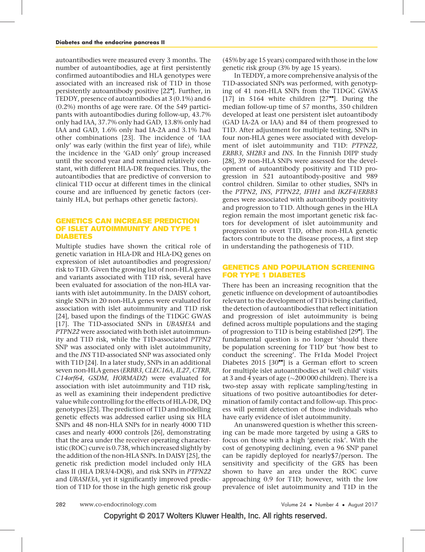autoantibodies were measured every 3 months. The number of autoantibodies, age at first persistently confirmed autoantibodies and HLA genotypes were associated with an increased risk of T1D in those persistently autoantibody positive [\[22](#page-5-0)"[\]](#page-5-0). Further, in TEDDY, presence of autoantibodies at 3 (0.1%) and 6 (0.2%) months of age were rare. Of the 549 participants with autoantibodies during follow-up, 43.7% only had IAA, 37.7% only had GAD, 13.8% only had IAA and GAD, 1.6% only had IA-2A and 3.1% had other combinations [\[23\]](#page-5-0). The incidence of 'IAA only' was early (within the first year of life), while the incidence in the 'GAD only' group increased until the second year and remained relatively constant, with different HLA-DR frequencies. Thus, the autoantibodies that are predictive of conversion to clinical T1D occur at different times in the clinical course and are influenced by genetic factors (certainly HLA, but perhaps other genetic factors).

## GENETICS CAN INCREASE PREDICTION OF ISLET AUTOIMMUNITY AND TYPE 1 DIABETES

Multiple studies have shown the critical role of genetic variation in HLA-DR and HLA-DQ genes on expression of islet autoantibodies and progression/ risk to T1D. Given the growing list of non-HLA genes and variants associated with T1D risk, several have been evaluated for association of the non-HLA variants with islet autoimmunity. In the DAISY cohort, single SNPs in 20 non-HLA genes were evaluated for association with islet autoimmunity and T1D risk [\[24\],](#page-5-0) based upon the findings of the T1DGC GWAS [\[17\].](#page-5-0) The T1D-associated SNPs in UBASH3A and PTPN22 were associated with both islet autoimmunity and T1D risk, while the T1D-associated PTPN2 SNP was associated only with islet autoimmunity, and the INS T1D-associated SNP was associated only with T1D [\[24\].](#page-5-0) In a later study, SNPs in an additional seven non-HLA genes (ERBB3, CLEC16A, IL27, CTRB, C14orf64, GSDM, HORMAD2) were evaluated for association with islet autoimmunity and T1D risk, as well as examining their independent predictive value while controlling for the effects of HLA-DR, DQ genotypes [\[25\]](#page-5-0). The prediction of T1D and modelling genetic effects was addressed earlier using six HLA SNPs and 48 non-HLA SNPs for in nearly 4000 T1D cases and nearly 4000 controls [\[26\],](#page-5-0) demonstrating that the area under the receiver operating characteristic (ROC) curve is 0.738, which increased slightly by the addition of the non-HLA SNPs. In DAISY [\[25\],](#page-5-0) the genetic risk prediction model included only HLA class II (HLA DR3/4-DQ8), and risk SNPs in PTPN22 and UBASH3A, yet it significantly improved prediction of T1D for those in the high genetic risk group

(45% by age 15 years) compared with those in the low genetic risk group (3% by age 15 years).

In TEDDY, a more comprehensive analysis of the T1D-associated SNPs was performed, with genotyping of 41 non-HLA SNPs from the T1DGC GWAS [\[17\]](#page-5-0) in 5164 white children  $[27$ <sup> $\bullet$  $\bullet$ </sup>[\].](#page-5-0) During the median follow-up time of 57 months, 350 children developed at least one persistent islet autoantibody (GAD IA-2A or IAA) and 84 of them progressed to T1D. After adjustment for multiple testing, SNPs in four non-HLA genes were associated with development of islet autoimmunity and T1D: PTPN22, ERBB3, SH2B3 and INS. In the Finnish DIPP study [\[28\],](#page-5-0) 39 non-HLA SNPs were assessed for the development of autoantibody positivity and T1D progression in 521 autoantibody-positive and 989 control children. Similar to other studies, SNPs in the PTPN2, INS, PTPN22, IFIH1 and IKZF4/ERBB3 genes were associated with autoantibody positivity and progression to T1D. Although genes in the HLA region remain the most important genetic risk factors for development of islet autoimmunity and progression to overt T1D, other non-HLA genetic factors contribute to the disease process, a first step in understanding the pathogenesis of T1D.

#### GENETICS AND POPULATION SCREENING FOR TYPE 1 DIABETES

There has been an increasing recognition that the genetic influence on development of autoantibodies relevant to the development of T1D is being clarified, the detection of autoantibodies that reflect initiation and progression of islet autoimmunity is being defined across multiple populations and the staging of progression to T1D is being established [\[29](#page-5-0)"[\].](#page-5-0) The fundamental question is no longer 'should there be population screening for T1D' but 'how best to conduct the screening'. The Fr1da Model Project Diabetes 2015 [\[30](#page-5-0) $\text{m}$ [\]](#page-5-0) is a German effort to screen for multiple islet autoantibodies at 'well child' visits at 3 and 4 years of age ( $\sim$ 200 000 children). There is a two-step assay with replicate sampling/testing in situations of two positive autoantibodies for determination of family contact and follow-up. This process will permit detection of those individuals who have early evidence of islet autoimmunity.

An unanswered question is whether this screening can be made more targeted by using a GRS to focus on those with a high 'genetic risk'. With the cost of genotyping declining, even a 96 SNP panel can be rapidly deployed for nearly\$7/person. The sensitivity and specificity of the GRS has been shown to have an area under the ROC curve approaching 0.9 for T1D; however, with the low prevalence of islet autoimmunity and T1D in the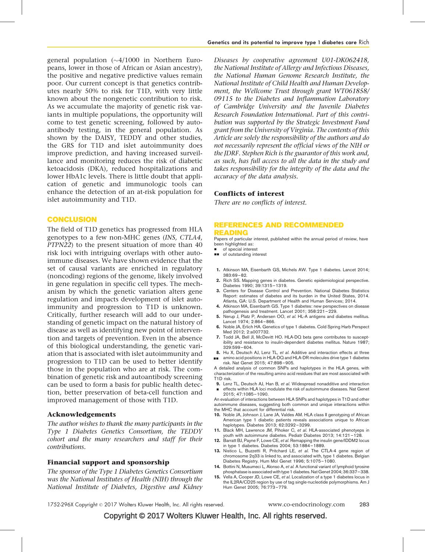<span id="page-4-0"></span>general population  $({\sim}4/1000$  in Northern Europeans, lower in those of African or Asian ancestry), the positive and negative predictive values remain poor. Our current concept is that genetics contributes nearly 50% to risk for T1D, with very little known about the nongenetic contribution to risk. As we accumulate the majority of genetic risk variants in multiple populations, the opportunity will come to test genetic screening, followed by autoantibody testing, in the general population. As shown by the DAISY, TEDDY and other studies, the GRS for T1D and islet autoimmunity does improve prediction, and having increased surveillance and monitoring reduces the risk of diabetic ketoacidosis (DKA), reduced hospitalizations and lower HbA1c levels. There is little doubt that application of genetic and immunologic tools can enhance the detection of an at-risk population for islet autoimmunity and T1D.

## **CONCLUSION**

The field of T1D genetics has progressed from HLA genotypes to a few non-MHC genes (INS, CTLA4, PTPN22) to the present situation of more than 40 risk loci with intriguing overlaps with other autoimmune diseases. We have shown evidence that the set of causal variants are enriched in regulatory (noncoding) regions of the genome, likely involved in gene regulation in specific cell types. The mechanism by which the genetic variation alters gene regulation and impacts development of islet autoimmunity and progression to T1D is unknown. Critically, further research will add to our understanding of genetic impact on the natural history of disease as well as identifying new point of intervention and targets of prevention. Even in the absence of this biological understanding, the genetic variation that is associated with islet autoimmunity and progression to T1D can be used to better identify those in the population who are at risk. The combination of genetic risk and autoantibody screening can be used to form a basis for public health detection, better preservation of beta-cell function and improved management of those with T1D.

#### Acknowledgements

The author wishes to thank the many participants in the Type 1 Diabetes Genetics Consortium, the TEDDY cohort and the many researchers and staff for their contributions.

#### Financial support and sponsorship

The sponsor of the Type 1 Diabetes Genetics Consortium was the National Institutes of Health (NIH) through the National Institute of Diabetes, Digestive and Kidney Diseases by cooperative agreement U01-DK062418, the National Institute of Allergy and Infectious Diseases, the National Human Genome Research Institute, the National Institute of Child Health and Human Development, the Wellcome Trust through grant WT061858/ 09115 to the Diabetes and Inflammation Laboratory of Cambridge University and the Juvenile Diabetes Research Foundation International. Part of this contribution was supported by the Strategic Investment Fund grant from the University of Virginia. The contents of this Article are solely the responsibility of the authors and do not necessarily represent the official views of the NIH or the JDRF. Stephen Rich is the guarantor of this work and, as such, has full access to all the data in the study and takes responsibility for the integrity of the data and the accuracy of the data analysis.

#### Conflicts of interest

There are no conflicts of interest.

#### REFERENCES AND RECOMMENDED READING

Papers of particular interest, published within the annual period of review, have been highlighted as:

- of special interest
- $\blacksquare$  of outstanding interest
- 1. Atkinson MA, Eisenbarth GS, Michels AW. Type 1 diabetes. Lancet 2014; 383:69–82.
- 2. Rich SS. Mapping genes in diabetes. Genetic epidemiological perspective. Diabetes 1990; 39:1315–1319.
- 3. Centers for Disease Control and Prevention. National Diabetes Statistics Report: estimates of diabetes and its burden in the United States, 2014. Atlanta, GA: U.S. Department of Health and Human Services; 2014.
- 4. Atkinson MA, Eisenbarth GS. Type 1 diabetes: new perspectives on disease pathogenesis and treatment. Lancet 2001; 358:221–229.
- 5. Nerup J, Platz P, Andersen OO, et al. HL-A antigens and diabetes mellitus. Lancet 1974; 2:864–866.
- 6. Noble JA, Erlich HA. Genetics of type 1 diabetes. Cold Spring Harb Perspect Med 2012; 2:a007732.
- 7. Todd JA, Bell JI, McDevitt HO. HLA-DQ beta gene contributes to susceptibility and resistance to insulin-dependent diabetes mellitus. Nature 1987; 329:599–604.
- 8. Hu X, Deutsch AJ, Lenz TL, et al. Additive and interaction effects at three && amino acid positions in HLA-DQ and HLA-DR molecules drive type 1 diabetes risk. Nat Genet 2015; 47:898–905.

A detailed analysis of common SNPs and haplotypes in the HLA genes, with characterization of the resulting amino acid residues that are most associated with T1D risk.

- 9. Lenz TL, Deutsch AJ, Han B, et al. Widespread nonadditive and interaction
- & effects within HLA loci modulate the risk of autoimmune diseases. Nat Genet 2015; 47:1085–1090.

An evaluation of interactions between HLA SNPs and haplotypes in T1D and other autoimmune diseases, suggesting both common and unique interactions within the MHC that account for differential risk.

- 10. Noble JA, Johnson J, Lane JA, Valdes AM. HLA class II genotyping of African American type 1 diabetic patients reveals associations unique to African haplotypes. Diabetes 2013; 62:3292–3299.
- 11. Black MH, Lawrence JM, Pihoker C, et al. HLA-associated phenotyeps in youth with autoimmune diabetes. Pediatr Diabetes 2013; 14:121–128.
- 12. Barratt BJ, Payne F, Lowe CE, et al. Remapping the insulin gene/IDDM2 locus in type 1 diabetes. Diabetes 2004; 53:1884–1889.
- 13. Nistico L, Buzzetti R, Pritchard LE, et al. The CTLA-4 gene region of chromosome 2q33 is linked to, and associated with, type 1 diabetes. Belgian Diabetes Registry. Hum Mol Genet 1996; 5:1075–1080.
- 14. Bottini N, Musumeci L, Alonso A, et al. A functional variant of lymphoid tyrosine phosphatase is associated with type 1 diabetes. Nat Genet 2004; 36:337-338.
- 15. Vella A, Cooper JD, Lowe CE, et al. Localization of a type 1 diabetes locus in the IL2RA/CD25 region by use of tag single-nucleotide polymorphisms. Am J Hum Genet 2005; 76:773–779.

1752-296X Copyright © 2017 Wolters Kluwer Health, Inc. All rights reserved. www.co-endocrinology.com 283